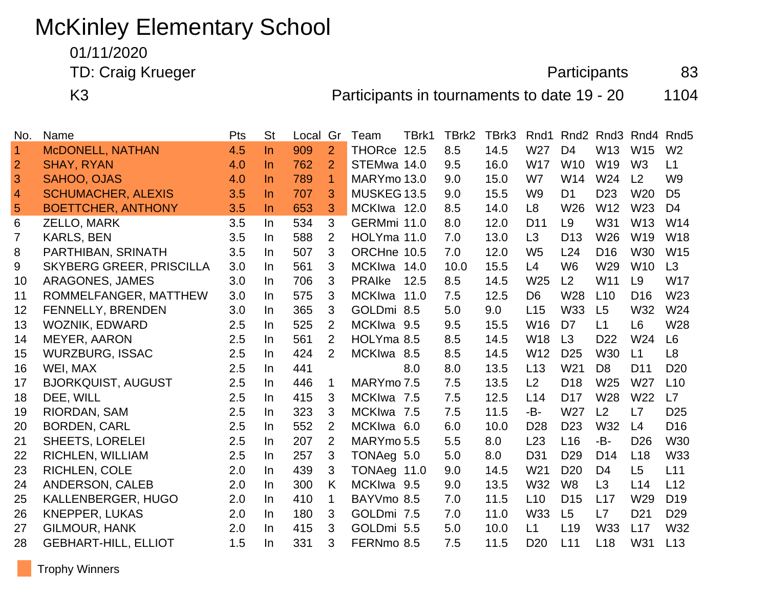# McKinley Elementary School

01/11/2020

TD: Craig Krueger 83

K3 **Participants in tournaments to date 19 - 20** 1104

| No.            | Name                            | Pts | <b>St</b> | Local | Gr             | Team          | TBrk1 | TBrk2 | TBrk3 | Rnd1            | Rnd <sub>2</sub> | Rnd <sub>3</sub> | Rnd4            | Rnd <sub>5</sub> |
|----------------|---------------------------------|-----|-----------|-------|----------------|---------------|-------|-------|-------|-----------------|------------------|------------------|-----------------|------------------|
| $\overline{1}$ | McDONELL, NATHAN                | 4.5 | $\ln$     | 909   | $\overline{2}$ | THORce 12.5   |       | 8.5   | 14.5  | W27             | D <sub>4</sub>   | W13              | W <sub>15</sub> | W <sub>2</sub>   |
| $\overline{2}$ | <b>SHAY, RYAN</b>               | 4.0 | In        | 762   | 2              | STEMwa 14.0   |       | 9.5   | 16.0  | <b>W17</b>      | W <sub>10</sub>  | W <sub>19</sub>  | W <sub>3</sub>  | L1               |
| 3              | SAHOO, OJAS                     | 4.0 | $\ln$     | 789   | 1              | MARYmo 13.0   |       | 9.0   | 15.0  | W7              | W14              | W24              | L <sub>2</sub>  | W <sub>9</sub>   |
| $\overline{4}$ | <b>SCHUMACHER, ALEXIS</b>       | 3.5 | $\ln$     | 707   | 3              | MUSKEG 13.5   |       | 9.0   | 15.5  | W <sub>9</sub>  | D <sub>1</sub>   | D <sub>23</sub>  | <b>W20</b>      | D <sub>5</sub>   |
| $\sqrt{5}$     | <b>BOETTCHER, ANTHONY</b>       | 3.5 | In        | 653   | 3              | MCKIwa 12.0   |       | 8.5   | 14.0  | L <sub>8</sub>  | W <sub>26</sub>  | W12              | W <sub>23</sub> | D <sub>4</sub>   |
| 6              | ZELLO, MARK                     | 3.5 | $\ln$     | 534   | 3              | GERMmi 11.0   |       | 8.0   | 12.0  | D <sub>11</sub> | L <sub>9</sub>   | W31              | W13             | W14              |
| 7              | <b>KARLS, BEN</b>               | 3.5 | In        | 588   | 2              | HOLYma 11.0   |       | 7.0   | 13.0  | L3              | D <sub>13</sub>  | W26              | W19             | W18              |
| 8              | PARTHIBAN, SRINATH              | 3.5 | In        | 507   | 3              | ORCHne 10.5   |       | 7.0   | 12.0  | W <sub>5</sub>  | L24              | D <sub>16</sub>  | W30             | W15              |
| 9              | <b>SKYBERG GREER, PRISCILLA</b> | 3.0 | $\ln$     | 561   | 3              | MCKIwa 14.0   |       | 10.0  | 15.5  | L4              | W <sub>6</sub>   | W29              | W10             | L3               |
| 10             | <b>ARAGONES, JAMES</b>          | 3.0 | In        | 706   | 3              | <b>PRAIKe</b> | 12.5  | 8.5   | 14.5  | W25             | L2               | W11              | L <sub>9</sub>  | <b>W17</b>       |
| 11             | ROMMELFANGER, MATTHEW           | 3.0 | In.       | 575   | 3              | MCKIwa        | 11.0  | 7.5   | 12.5  | D <sub>6</sub>  | W <sub>28</sub>  | L10              | D <sub>16</sub> | W23              |
| 12             | FENNELLY, BRENDEN               | 3.0 | In.       | 365   | 3              | GOLDmi 8.5    |       | 5.0   | 9.0   | L15             | <b>W33</b>       | L <sub>5</sub>   | W32             | W24              |
| 13             | WOZNIK, EDWARD                  | 2.5 | In.       | 525   | 2              | MCKIwa 9.5    |       | 9.5   | 15.5  | W <sub>16</sub> | D <sub>7</sub>   | L1               | L <sub>6</sub>  | W28              |
| 14             | <b>MEYER, AARON</b>             | 2.5 | In        | 561   | 2              | HOLYma 8.5    |       | 8.5   | 14.5  | W18             | L3               | D <sub>22</sub>  | W24             | L <sub>6</sub>   |
| 15             | <b>WURZBURG, ISSAC</b>          | 2.5 | In        | 424   | 2              | MCKIwa 8.5    |       | 8.5   | 14.5  | W12             | D <sub>25</sub>  | W30              | L1              | L <sub>8</sub>   |
| 16             | WEI, MAX                        | 2.5 | $\ln$     | 441   |                |               | 8.0   | 8.0   | 13.5  | L13             | W <sub>21</sub>  | D <sub>8</sub>   | D <sub>11</sub> | D <sub>20</sub>  |
| 17             | <b>BJORKQUIST, AUGUST</b>       | 2.5 | $\ln$     | 446   | $\mathbf 1$    | MARYmo 7.5    |       | 7.5   | 13.5  | L2              | D <sub>18</sub>  | W <sub>25</sub>  | W <sub>27</sub> | L10              |
| 18             | DEE, WILL                       | 2.5 | In.       | 415   | 3              | MCKIwa 7.5    |       | 7.5   | 12.5  | L14             | D <sub>17</sub>  | W28              | W22             | L7               |
| 19             | RIORDAN, SAM                    | 2.5 | In.       | 323   | 3              | MCKIwa 7.5    |       | 7.5   | 11.5  | -B-             | W27              | L2               | L7              | D <sub>25</sub>  |
| 20             | <b>BORDEN, CARL</b>             | 2.5 | In.       | 552   | 2              | MCKIwa 6.0    |       | 6.0   | 10.0  | D <sub>28</sub> | D <sub>23</sub>  | W32              | L4              | D <sub>16</sub>  |
| 21             | SHEETS, LORELEI                 | 2.5 | In        | 207   | 2              | MARYmo 5.5    |       | 5.5   | 8.0   | L23             | L <sub>16</sub>  | -B-              | D <sub>26</sub> | W30              |
| 22             | RICHLEN, WILLIAM                | 2.5 | In        | 257   | 3              | TONAeg 5.0    |       | 5.0   | 8.0   | D31             | D <sub>29</sub>  | D <sub>14</sub>  | L18             | W33              |
| 23             | RICHLEN, COLE                   | 2.0 | In        | 439   | 3              | TONAeg 11.0   |       | 9.0   | 14.5  | W21             | D <sub>20</sub>  | D <sub>4</sub>   | L5              | L11              |
| 24             | ANDERSON, CALEB                 | 2.0 | In        | 300   | K              | MCKIwa 9.5    |       | 9.0   | 13.5  | W32             | W <sub>8</sub>   | L3               | L14             | L12              |
| 25             | KALLENBERGER, HUGO              | 2.0 | In.       | 410   | 1              | BAYVmo 8.5    |       | 7.0   | 11.5  | L10             | D <sub>15</sub>  | L17              | W29             | D <sub>19</sub>  |
| 26             | <b>KNEPPER, LUKAS</b>           | 2.0 | In.       | 180   | 3              | GOLDmi 7.5    |       | 7.0   | 11.0  | <b>W33</b>      | L5               | L7               | D <sub>21</sub> | D <sub>29</sub>  |
| 27             | <b>GILMOUR, HANK</b>            | 2.0 | In.       | 415   | 3              | GOLDmi 5.5    |       | 5.0   | 10.0  | L1              | L <sub>19</sub>  | <b>W33</b>       | L17             | W32              |
| 28             | <b>GEBHART-HILL, ELLIOT</b>     | 1.5 | In        | 331   | 3              | FERNmo 8.5    |       | 7.5   | 11.5  | D <sub>20</sub> | L11              | L <sub>18</sub>  | W31             | L13              |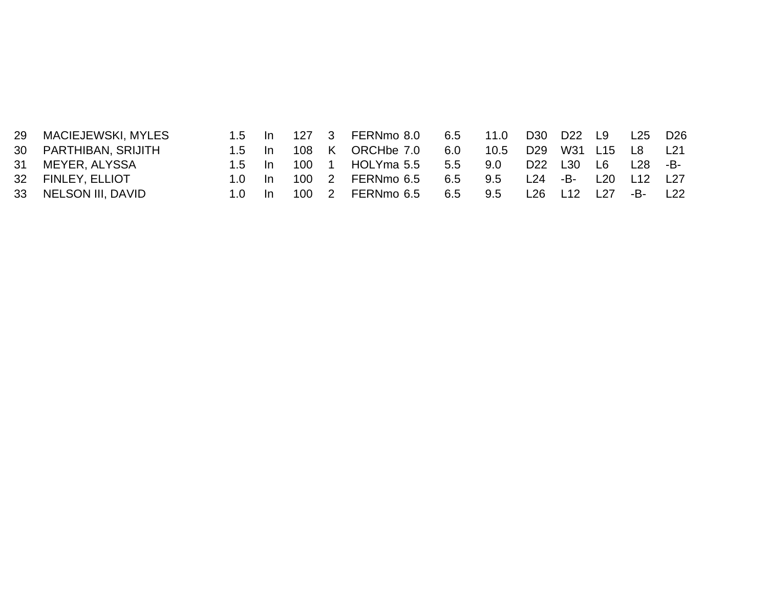| 29 | MACIEJEWSKI, MYLES    | $1.5$ In |      |     |   | 127 3 FERNmo 8.0 | 6.5 11.0 |      | D30 D22 L9  |     |                 | L25 | D <sub>26</sub> |
|----|-----------------------|----------|------|-----|---|------------------|----------|------|-------------|-----|-----------------|-----|-----------------|
|    | 30 PARTHIBAN, SRIJITH | $1.5$ In |      | 108 |   | K ORCHbe 7.0     | 6.0      | 10.5 | D29 W31 L15 |     |                 | L8  | L21             |
|    | 31 MEYER, ALYSSA      | $1.5$ In |      | 100 |   | HOLYma 5.5       | 5.5      | 9.0  | D22 L30     |     | L6              | L28 | -B-             |
|    | 32 FINLEY, ELLIOT     | 1 N      | - In | 100 | 2 | FERNmo 6.5       | 6.5      | 9.5  | L24         | -B- | L20             | L12 | L <sub>27</sub> |
|    | 33 NELSON III, DAVID  | 1 N      | - In |     |   | 100 2 FERNmo 6.5 | 6.5      | 9.5  | L26         | L12 | L <sub>27</sub> | -B- | L22             |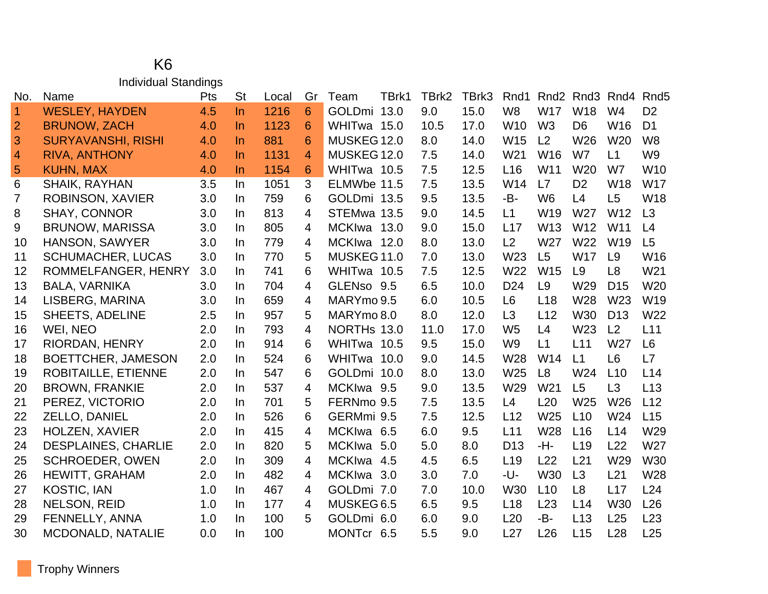#### K6 Individual Standings

| No.            | Name                       | <b>Pts</b> | <b>St</b> | Local | Gr             | Team        | TBrk1 | TBrk2 | TBrk3 | Rnd1            | Rnd <sub>2</sub> | Rnd <sub>3</sub> | Rnd4            | Rnd <sub>5</sub> |
|----------------|----------------------------|------------|-----------|-------|----------------|-------------|-------|-------|-------|-----------------|------------------|------------------|-----------------|------------------|
| $\overline{1}$ | <b>WESLEY, HAYDEN</b>      | 4.5        | $\ln$     | 1216  | 6              | GOLDmi 13.0 |       | 9.0   | 15.0  | W <sub>8</sub>  | <b>W17</b>       | W18              | W <sub>4</sub>  | D <sub>2</sub>   |
| $\overline{2}$ | <b>BRUNOW, ZACH</b>        | 4.0        | $\ln$     | 1123  | 6              | WHITwa 15.0 |       | 10.5  | 17.0  | W10             | W <sub>3</sub>   | D <sub>6</sub>   | W16             | D <sub>1</sub>   |
| 3              | <b>SURYAVANSHI, RISHI</b>  | 4.0        | In        | 881   | 6              | MUSKEG 12.0 |       | 8.0   | 14.0  | W <sub>15</sub> | L <sub>2</sub>   | W26              | W <sub>20</sub> | W <sub>8</sub>   |
| $\overline{4}$ | <b>RIVA, ANTHONY</b>       | 4.0        | In        | 1131  | $\overline{4}$ | MUSKEG 12.0 |       | 7.5   | 14.0  | W21             | W <sub>16</sub>  | W7               | L1              | W <sub>9</sub>   |
| 5              | <b>KUHN, MAX</b>           | 4.0        | In        | 1154  | 6              | WHITwa 10.5 |       | 7.5   | 12.5  | L16             | W11              | W <sub>20</sub>  | W7              | W <sub>10</sub>  |
| 6              | <b>SHAIK, RAYHAN</b>       | 3.5        | In        | 1051  | 3              | ELMWbe 11.5 |       | 7.5   | 13.5  | W14             | L7               | D <sub>2</sub>   | W18             | <b>W17</b>       |
| $\overline{7}$ | <b>ROBINSON, XAVIER</b>    | 3.0        | In.       | 759   | 6              | GOLDmi 13.5 |       | 9.5   | 13.5  | -B-             | W <sub>6</sub>   | L4               | L5              | W18              |
| 8              | <b>SHAY, CONNOR</b>        | 3.0        | In        | 813   | 4              | STEMwa 13.5 |       | 9.0   | 14.5  | L1              | W19              | W27              | W12             | L3               |
| 9              | <b>BRUNOW, MARISSA</b>     | 3.0        | In.       | 805   | 4              | MCKIwa 13.0 |       | 9.0   | 15.0  | L17             | W13              | W12              | W11             | L4               |
| 10             | HANSON, SAWYER             | 3.0        | In.       | 779   | 4              | MCKIwa 12.0 |       | 8.0   | 13.0  | L <sub>2</sub>  | W27              | W22              | W <sub>19</sub> | L5               |
| 11             | <b>SCHUMACHER, LUCAS</b>   | 3.0        | In        | 770   | 5              | MUSKEG 11.0 |       | 7.0   | 13.0  | W23             | L <sub>5</sub>   | W17              | L <sub>9</sub>  | W16              |
| 12             | ROMMELFANGER, HENRY        | 3.0        | In        | 741   | 6              | WHITwa 10.5 |       | 7.5   | 12.5  | W22             | W15              | L9               | L8              | W21              |
| 13             | <b>BALA, VARNIKA</b>       | 3.0        | In.       | 704   | 4              | GLENso 9.5  |       | 6.5   | 10.0  | D <sub>24</sub> | L9               | W29              | D <sub>15</sub> | W <sub>20</sub>  |
| 14             | LISBERG, MARINA            | 3.0        | In.       | 659   | 4              | MARYmo 9.5  |       | 6.0   | 10.5  | L <sub>6</sub>  | L <sub>18</sub>  | W28              | W23             | W19              |
| 15             | <b>SHEETS, ADELINE</b>     | 2.5        | In        | 957   | 5              | MARYmo 8.0  |       | 8.0   | 12.0  | L3              | L12              | W30              | D <sub>13</sub> | W22              |
| 16             | WEI, NEO                   | 2.0        | In        | 793   | 4              | NORTHs 13.0 |       | 11.0  | 17.0  | W <sub>5</sub>  | L4               | W23              | L2              | L11              |
| 17             | RIORDAN, HENRY             | 2.0        | In        | 914   | 6              | WHITwa 10.5 |       | 9.5   | 15.0  | W <sub>9</sub>  | L1               | L11              | W27             | L <sub>6</sub>   |
| 18             | BOETTCHER, JAMESON         | 2.0        | In.       | 524   | 6              | WHITwa 10.0 |       | 9.0   | 14.5  | W28             | W14              | L1               | L <sub>6</sub>  | L7               |
| 19             | <b>ROBITAILLE, ETIENNE</b> | 2.0        | In.       | 547   | 6              | GOLDmi 10.0 |       | 8.0   | 13.0  | W25             | L8               | W24              | L10             | L14              |
| 20             | <b>BROWN, FRANKIE</b>      | 2.0        | In        | 537   | 4              | MCKIwa 9.5  |       | 9.0   | 13.5  | W29             | W <sub>21</sub>  | L <sub>5</sub>   | L3              | L13              |
| 21             | PEREZ, VICTORIO            | 2.0        | In        | 701   | 5              | FERNmo 9.5  |       | 7.5   | 13.5  | L4              | L20              | W25              | W26             | L12              |
| 22             | ZELLO, DANIEL              | 2.0        | In        | 526   | 6              | GERMmi 9.5  |       | 7.5   | 12.5  | L12             | W25              | L10              | W24             | L15              |
| 23             | HOLZEN, XAVIER             | 2.0        | In.       | 415   | 4              | MCKIwa 6.5  |       | 6.0   | 9.5   | L11             | W28              | L16              | L14             | W29              |
| 24             | <b>DESPLAINES, CHARLIE</b> | 2.0        | In.       | 820   | 5              | MCKIwa 5.0  |       | 5.0   | 8.0   | D <sub>13</sub> | -H-              | L <sub>19</sub>  | L22             | W27              |
| 25             | <b>SCHROEDER, OWEN</b>     | 2.0        | In.       | 309   | 4              | MCKIwa 4.5  |       | 4.5   | 6.5   | L <sub>19</sub> | L22              | L21              | W29             | <b>W30</b>       |
| 26             | <b>HEWITT, GRAHAM</b>      | 2.0        | In        | 482   | 4              | MCKIwa      | 3.0   | 3.0   | 7.0   | -U-             | W30              | L3               | L21             | W28              |
| 27             | <b>KOSTIC, IAN</b>         | 1.0        | In.       | 467   | $\overline{4}$ | GOLDmi 7.0  |       | 7.0   | 10.0  | <b>W30</b>      | L10              | L <sub>8</sub>   | L17             | L24              |
| 28             | <b>NELSON, REID</b>        | 1.0        | In        | 177   | 4              | MUSKEG 6.5  |       | 6.5   | 9.5   | L18             | L23              | L14              | W30             | L26              |
| 29             | FENNELLY, ANNA             | 1.0        | In.       | 100   | 5              | GOLDmi 6.0  |       | 6.0   | 9.0   | L20             | -B-              | L13              | L25             | L23              |
| 30             | <b>MCDONALD, NATALIE</b>   | 0.0        | In        | 100   |                | MONTcr 6.5  |       | 5.5   | 9.0   | L27             | L26              | L15              | L28             | L25              |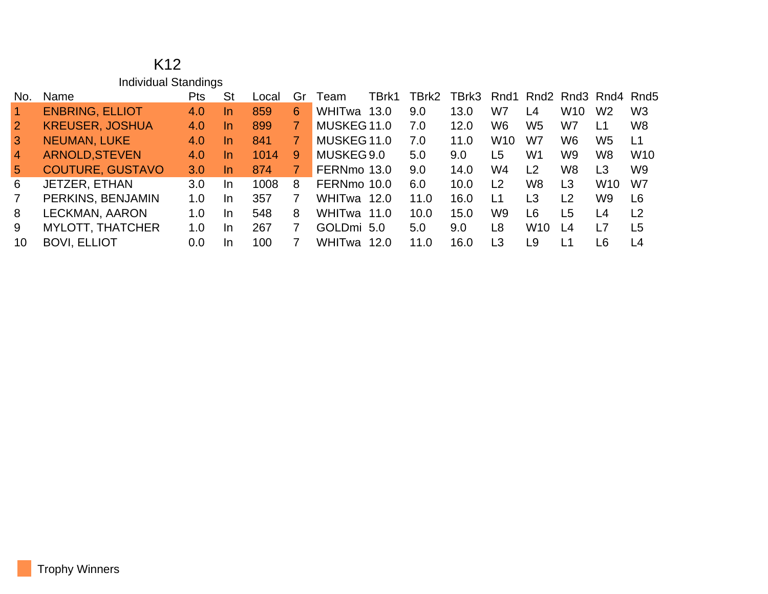|                 | K <sub>12</sub>         |            |     |       |                |             |       |       |       |                |                 |                |                                                                     |                |
|-----------------|-------------------------|------------|-----|-------|----------------|-------------|-------|-------|-------|----------------|-----------------|----------------|---------------------------------------------------------------------|----------------|
|                 | Individual Standings    |            |     |       |                |             |       |       |       |                |                 |                |                                                                     |                |
| No.             | Name                    | <b>Pts</b> | St  | Local | Gr             | Team        | TBrk1 | TBrk2 | TBrk3 | Rnd1           |                 |                | Rnd <sub>2</sub> Rnd <sub>3</sub> Rnd <sub>4</sub> Rnd <sub>5</sub> |                |
| $\vert$ 1       | <b>ENBRING, ELLIOT</b>  | 4.0        | In. | 859   | 6              | WHITwa 13.0 |       | 9.0   | 13.0  | W7             | L4              | W10            | W <sub>2</sub>                                                      | W <sub>3</sub> |
| $\overline{2}$  | <b>KREUSER, JOSHUA</b>  | 4.0        | In. | 899   | $\overline{7}$ | MUSKEG 11.0 |       | 7.0   | 12.0  | W <sub>6</sub> | W <sub>5</sub>  | W7             | L1                                                                  | W <sub>8</sub> |
| $\mathbf{3}$    | <b>NEUMAN, LUKE</b>     | 4.0        | In. | 841   | $\overline{7}$ | MUSKEG 11.0 |       | 7.0   | 11.0  | <b>W10</b>     | W7              | W <sub>6</sub> | W <sub>5</sub>                                                      | L1             |
| $\overline{4}$  | <b>ARNOLD, STEVEN</b>   | 4.0        | In. | 1014  | 9              | MUSKEG 9.0  |       | 5.0   | 9.0   | L5             | W <sub>1</sub>  | W9             | W8                                                                  | <b>W10</b>     |
| $5\overline{)}$ | <b>COUTURE, GUSTAVO</b> | 3.0        | In. | 874   | 7.             | FERNmo 13.0 |       | 9.0   | 14.0  | W4             | L <sub>2</sub>  | W8             | L <sub>3</sub>                                                      | W <sub>9</sub> |
| 6               | JETZER, ETHAN           | 3.0        | In. | 1008  | 8              | FERNmo 10.0 |       | 6.0   | 10.0  | L2             | W <sub>8</sub>  | L3             | W <sub>10</sub>                                                     | W7             |
| $\overline{7}$  | PERKINS, BENJAMIN       | 1.0        | In. | 357   | 7              | WHITwa 12.0 |       | 11.0  | 16.0  | L1             | L <sub>3</sub>  | L <sub>2</sub> | W9                                                                  | L <sub>6</sub> |
| 8               | LECKMAN, AARON          | 1.0        | In. | 548   | 8              | WHITwa 11.0 |       | 10.0  | 15.0  | W <sub>9</sub> | L <sub>6</sub>  | L <sub>5</sub> | L4                                                                  | L <sub>2</sub> |
| 9               | <b>MYLOTT, THATCHER</b> | 1.0        | In. | 267   | 7              | GOLDmi 5.0  |       | 5.0   | 9.0   | L <sub>8</sub> | W <sub>10</sub> | L4             | L7                                                                  | L <sub>5</sub> |
| 10              | <b>BOVI, ELLIOT</b>     | 0.0        | In. | 100   |                | WHITwa      | 12.0  | 11.0  | 16.0  | L3             | L <sub>9</sub>  | L1             | L6                                                                  | L4             |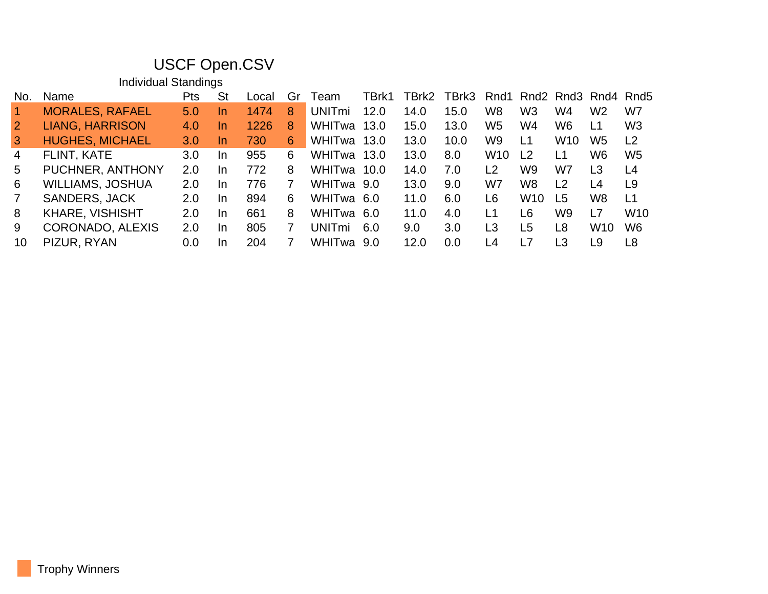## USCF Open.CSV

Individual Standings

| No.            | Name                    | Pts | <b>St</b> | Local | Gr | Team               | TBrk1 | TBrk2 | TBrk3 |                |                 |                 |                 | Rnd1 Rnd2 Rnd3 Rnd4 Rnd5 |
|----------------|-------------------------|-----|-----------|-------|----|--------------------|-------|-------|-------|----------------|-----------------|-----------------|-----------------|--------------------------|
|                | <b>MORALES, RAFAEL</b>  | 5.0 | <u>In</u> | 1474  | 8  | UNIT <sub>mi</sub> | 12.0  | 14.0  | 15.0  | W <sub>8</sub> | W <sub>3</sub>  | W4              | W <sub>2</sub>  | W7                       |
| $\overline{2}$ | <b>LIANG, HARRISON</b>  | 4.0 | <u>In</u> | 1226  | 8  | WHITwa             | 13.0  | 15.0  | 13.0  | W <sub>5</sub> | W4              | W6              | $\overline{11}$ | W <sub>3</sub>           |
| 3              | <b>HUGHES, MICHAEL</b>  | 3.0 | In.       | 730   | 6  | WHITwa             | 13.0  | 13.0  | 10.0  | W <sub>9</sub> | L1              | W <sub>10</sub> | W <sub>5</sub>  | L <sub>2</sub>           |
| 4              | FLINT, KATE             | 3.0 | -In       | 955   | 6  | WHITwa             | 13.0  | 13.0  | 8.0   | <b>W10</b>     | L <sub>2</sub>  | L1              | W <sub>6</sub>  | W <sub>5</sub>           |
| 5.             | PUCHNER, ANTHONY        | 2.0 | -In       | 772   | 8  | WHITwa             | 10.0  | 14.0  | 7.0   | $\overline{2}$ | W <sub>9</sub>  | W7              | L <sub>3</sub>  | L <sub>4</sub>           |
| 6              | <b>WILLIAMS, JOSHUA</b> | 2.0 | -In       | 776   |    | WHITwa 9.0         |       | 13.0  | 9.0   | W7             | W <sub>8</sub>  | L <sub>2</sub>  | L <sub>4</sub>  | L9                       |
| 7              | <b>SANDERS, JACK</b>    | 2.0 | -In       | 894   | 6  | WHITwa             | -6.0  | 11.0  | 6.0   | L6             | W <sub>10</sub> | L5              | W <sub>8</sub>  | L <sub>1</sub>           |
| 8              | <b>KHARE, VISHISHT</b>  | 2.0 | -In       | 661   | 8  | WHITwa             | -6.0  | 11.0  | 4.0   | L1             | L6              | W9              | L7              | W <sub>10</sub>          |
| 9              | <b>CORONADO, ALEXIS</b> | 2.0 | -In       | 805   |    | UNITmi             | 6.0   | 9.0   | 3.0   | L <sub>3</sub> | L <sub>5</sub>  | L8              | W <sub>10</sub> | W <sub>6</sub>           |
| 10             | PIZUR, RYAN             | 0.0 | -In       | 204   |    | WHITwa             | .9.O  | 12.0  | 0.0   | L4             | L7              | L3              | L9              | L8                       |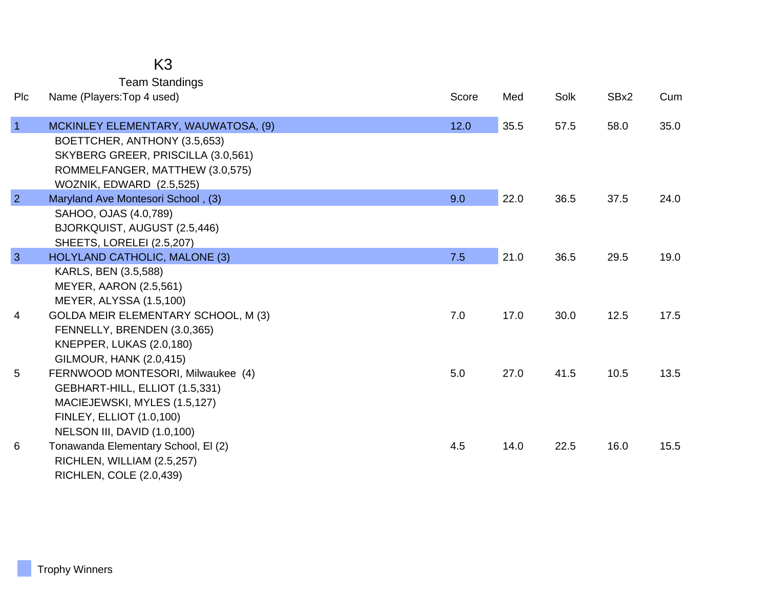# K3

|  | <b>Team Standings</b> |
|--|-----------------------|
|--|-----------------------|

| Plc             | Name (Players: Top 4 used)                                          | Score | Med  | Solk | SBx2 | Cum  |
|-----------------|---------------------------------------------------------------------|-------|------|------|------|------|
| $\overline{1}$  | MCKINLEY ELEMENTARY, WAUWATOSA, (9)<br>BOETTCHER, ANTHONY (3.5,653) | 12.0  | 35.5 | 57.5 | 58.0 | 35.0 |
|                 | SKYBERG GREER, PRISCILLA (3.0,561)                                  |       |      |      |      |      |
|                 | ROMMELFANGER, MATTHEW (3.0,575)                                     |       |      |      |      |      |
| $\overline{2}$  | WOZNIK, EDWARD (2.5,525)<br>Maryland Ave Montesori School, (3)      | 9.0   | 22.0 | 36.5 | 37.5 | 24.0 |
|                 | SAHOO, OJAS (4.0,789)                                               |       |      |      |      |      |
|                 | BJORKQUIST, AUGUST (2.5,446)                                        |       |      |      |      |      |
|                 | SHEETS, LORELEI (2.5,207)                                           |       |      |      |      |      |
| $\overline{3}$  | HOLYLAND CATHOLIC, MALONE (3)                                       | 7.5   | 21.0 | 36.5 | 29.5 | 19.0 |
|                 | KARLS, BEN (3.5,588)<br><b>MEYER, AARON (2.5,561)</b>               |       |      |      |      |      |
|                 | MEYER, ALYSSA (1.5,100)                                             |       |      |      |      |      |
| 4               | GOLDA MEIR ELEMENTARY SCHOOL, M (3)                                 | 7.0   | 17.0 | 30.0 | 12.5 | 17.5 |
|                 | FENNELLY, BRENDEN (3.0,365)                                         |       |      |      |      |      |
|                 | KNEPPER, LUKAS (2.0,180)                                            |       |      |      |      |      |
| $5\phantom{.0}$ | <b>GILMOUR, HANK (2.0,415)</b><br>FERNWOOD MONTESORI, Milwaukee (4) | 5.0   | 27.0 | 41.5 | 10.5 | 13.5 |
|                 | GEBHART-HILL, ELLIOT (1.5,331)                                      |       |      |      |      |      |
|                 | MACIEJEWSKI, MYLES (1.5,127)                                        |       |      |      |      |      |
|                 | <b>FINLEY, ELLIOT (1.0,100)</b>                                     |       |      |      |      |      |
|                 | NELSON III, DAVID (1.0,100)                                         |       |      |      |      |      |
| 6               | Tonawanda Elementary School, El (2)                                 | 4.5   | 14.0 | 22.5 | 16.0 | 15.5 |
|                 | RICHLEN, WILLIAM (2.5,257)<br>RICHLEN, COLE (2.0,439)               |       |      |      |      |      |
|                 |                                                                     |       |      |      |      |      |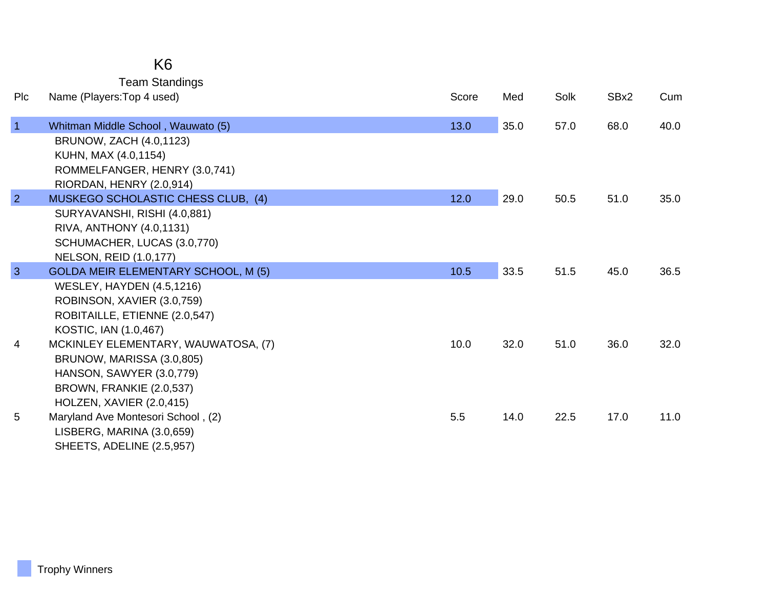|                | <b>Team Standings</b>                                          |       |      |      |      |      |
|----------------|----------------------------------------------------------------|-------|------|------|------|------|
| Plc            | Name (Players: Top 4 used)                                     | Score | Med  | Solk | SBx2 | Cum  |
| $\overline{1}$ |                                                                | 13.0  |      | 57.0 | 68.0 | 40.0 |
|                | Whitman Middle School, Wauwato (5)                             |       | 35.0 |      |      |      |
|                | BRUNOW, ZACH (4.0,1123)<br>KUHN, MAX (4.0,1154)                |       |      |      |      |      |
|                | ROMMELFANGER, HENRY (3.0,741)                                  |       |      |      |      |      |
|                |                                                                |       |      |      |      |      |
| $\overline{2}$ | RIORDAN, HENRY (2.0,914)<br>MUSKEGO SCHOLASTIC CHESS CLUB, (4) | 12.0  | 29.0 | 50.5 | 51.0 | 35.0 |
|                | SURYAVANSHI, RISHI (4.0,881)                                   |       |      |      |      |      |
|                | RIVA, ANTHONY (4.0,1131)                                       |       |      |      |      |      |
|                | SCHUMACHER, LUCAS (3.0,770)                                    |       |      |      |      |      |
|                | <b>NELSON, REID (1.0,177)</b>                                  |       |      |      |      |      |
| 3              | <b>GOLDA MEIR ELEMENTARY SCHOOL, M (5)</b>                     | 10.5  | 33.5 | 51.5 | 45.0 | 36.5 |
|                | <b>WESLEY, HAYDEN (4.5,1216)</b>                               |       |      |      |      |      |
|                | ROBINSON, XAVIER (3.0,759)                                     |       |      |      |      |      |
|                | ROBITAILLE, ETIENNE (2.0,547)                                  |       |      |      |      |      |
|                | KOSTIC, IAN (1.0,467)                                          |       |      |      |      |      |
| 4              | MCKINLEY ELEMENTARY, WAUWATOSA, (7)                            | 10.0  | 32.0 | 51.0 | 36.0 | 32.0 |
|                | BRUNOW, MARISSA (3.0,805)                                      |       |      |      |      |      |
|                | HANSON, SAWYER (3.0,779)                                       |       |      |      |      |      |
|                | BROWN, FRANKIE (2.0,537)                                       |       |      |      |      |      |
|                | HOLZEN, XAVIER (2.0,415)                                       |       |      |      |      |      |
| 5              | Maryland Ave Montesori School, (2)                             | 5.5   | 14.0 | 22.5 | 17.0 | 11.0 |
|                | LISBERG, MARINA (3.0,659)                                      |       |      |      |      |      |
|                | SHEETS, ADELINE (2.5,957)                                      |       |      |      |      |      |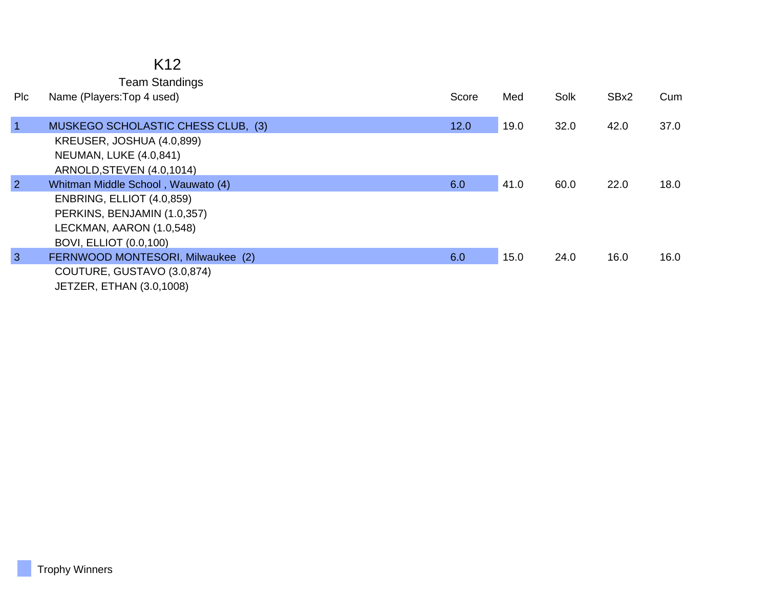### K12

Team Standings

| Plc            | Name (Players: Top 4 used)         | Score | Med  | Solk | SBx2 | Cum  |
|----------------|------------------------------------|-------|------|------|------|------|
|                |                                    |       |      |      |      |      |
| $\overline{1}$ | MUSKEGO SCHOLASTIC CHESS CLUB, (3) | 12.0  | 19.0 | 32.0 | 42.0 | 37.0 |
|                | KREUSER, JOSHUA (4.0,899)          |       |      |      |      |      |
|                | <b>NEUMAN, LUKE (4.0,841)</b>      |       |      |      |      |      |
|                | ARNOLD, STEVEN (4.0, 1014)         |       |      |      |      |      |
| $\overline{2}$ | Whitman Middle School, Wauwato (4) | 6.0   | 41.0 | 60.0 | 22.0 | 18.0 |
|                | ENBRING, ELLIOT (4.0,859)          |       |      |      |      |      |
|                | PERKINS, BENJAMIN (1.0,357)        |       |      |      |      |      |
|                | LECKMAN, AARON (1.0,548)           |       |      |      |      |      |
|                | <b>BOVI, ELLIOT (0.0,100)</b>      |       |      |      |      |      |
| $\mathbf{3}$   | FERNWOOD MONTESORI, Milwaukee (2)  | 6.0   | 15.0 | 24.0 | 16.0 | 16.0 |
|                | COUTURE, GUSTAVO (3.0,874)         |       |      |      |      |      |
|                | JETZER, ETHAN (3.0,1008)           |       |      |      |      |      |